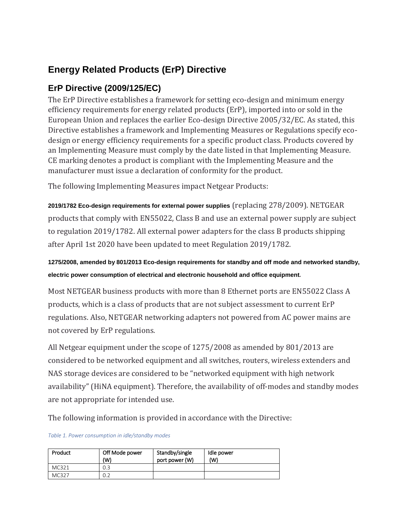## **Energy Related Products (ErP) Directive**

## **ErP Directive (2009/125/EC)**

The ErP Directive establishes a framework for setting eco-design and minimum energy efficiency requirements for energy related products (ErP), imported into or sold in the European Union and replaces the earlier Eco-design Directive 2005/32/EC. As stated, this Directive establishes a framework and Implementing Measures or Regulations specify ecodesign or energy efficiency requirements for a specific product class. Products covered by an Implementing Measure must comply by the date listed in that Implementing Measure. CE marking denotes a product is compliant with the Implementing Measure and the manufacturer must issue a declaration of conformity for the product.

The following Implementing Measures impact Netgear Products:

**2019/1782 Eco-design requirements for external power supplies** (replacing 278/2009). NETGEAR products that comply with EN55022, Class B and use an external power supply are subject to regulation 2019/1782. All external power adapters for the class B products shipping after April 1st 2020 have been updated to meet Regulation 2019/1782.

**1275/2008, amended by 801/2013 Eco-design requirements for standby and off mode and networked standby, electric power consumption of electrical and electronic household and office equipment**.

Most NETGEAR business products with more than 8 Ethernet ports are EN55022 Class A products, which is a class of products that are not subject assessment to current ErP regulations. Also, NETGEAR networking adapters not powered from AC power mains are not covered by ErP regulations.

All Netgear equipment under the scope of 1275/2008 as amended by 801/2013 are considered to be networked equipment and all switches, routers, wireless extenders and NAS storage devices are considered to be "networked equipment with high network availability" (HiNA equipment). Therefore, the availability of off-modes and standby modes are not appropriate for intended use.

The following information is provided in accordance with the Directive:

*Table 1. Power consumption in idle/standby modes*

| Product | Off Mode power<br>(W) | Standby/single<br>port power (W) | Idle power<br>(W) |
|---------|-----------------------|----------------------------------|-------------------|
| MC321   | 0.3                   |                                  |                   |
| MC327   | 0.2                   |                                  |                   |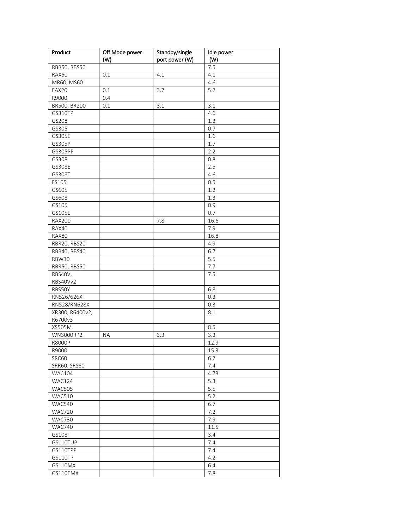| (W)<br>7.5<br>RBR50, RBS50<br>RAX50<br>0.1<br>4.1<br>4.1<br>MR60, MS60<br>4.6<br>3.7<br>5.2<br>EAX20<br>0.1<br>R9000<br>0.4<br>BR500, BR200<br>3.1<br>3.1<br>0.1<br>GS310TP<br>4.6<br>GS208<br>1.3<br>GS305<br>0.7<br>GS305E<br>1.6<br>GS305P<br>1.7<br>GS305PP<br>2.2<br>GS308<br>0.8<br>GS308E<br>2.5<br>GS308T<br>4.6<br>0.5<br>FS105<br>GS605<br>1.2<br>GS608<br>1.3<br>GS105<br>0.9<br>GS105E<br>0.7<br><b>RAX200</b><br>7.8<br>16.6<br>RAX40<br>7.9<br>RAX80<br>16.8<br>RBR20, RBS20<br>4.9<br>6.7<br>RBR40, RBS40<br>5.5<br>RBW30<br>RBR50, RBS50<br>7.7<br>RBS40V,<br>7.5<br>RBS40Vv2<br>RBS50Y<br>6.8<br>RN526/626X<br>0.3<br>RN528/RN628X<br>0.3<br>XR300, R6400v2,<br>$8.1\,$<br>R6700v3<br>XS505M<br>8.5<br>3.3<br>WN3000RP2<br>3.3<br>ΝA<br><b>R8000P</b><br>12.9<br>R9000<br>15.3<br>SRC60<br>6.7<br>SRR60, SRS60<br>7.4<br><b>WAC104</b><br>4.73<br>5.3<br><b>WAC124</b><br>5.5<br><b>WAC505</b><br>5.2<br><b>WAC510</b><br>WAC540<br>6.7<br><b>WAC720</b><br>7.2<br>7.9<br>WAC730<br><b>WAC740</b><br>11.5<br>GS108T<br>3.4<br>GS110TUP<br>7.4<br>GS110TPP<br>7.4<br>GS110TP<br>4.2<br>GS110MX<br>6.4<br>GS110EMX<br>7.8 | Product | Off Mode power | Standby/single | Idle power |
|------------------------------------------------------------------------------------------------------------------------------------------------------------------------------------------------------------------------------------------------------------------------------------------------------------------------------------------------------------------------------------------------------------------------------------------------------------------------------------------------------------------------------------------------------------------------------------------------------------------------------------------------------------------------------------------------------------------------------------------------------------------------------------------------------------------------------------------------------------------------------------------------------------------------------------------------------------------------------------------------------------------------------------------------------------------------------------------------------------------------------------------|---------|----------------|----------------|------------|
|                                                                                                                                                                                                                                                                                                                                                                                                                                                                                                                                                                                                                                                                                                                                                                                                                                                                                                                                                                                                                                                                                                                                          |         | (W)            | port power (W) |            |
|                                                                                                                                                                                                                                                                                                                                                                                                                                                                                                                                                                                                                                                                                                                                                                                                                                                                                                                                                                                                                                                                                                                                          |         |                |                |            |
|                                                                                                                                                                                                                                                                                                                                                                                                                                                                                                                                                                                                                                                                                                                                                                                                                                                                                                                                                                                                                                                                                                                                          |         |                |                |            |
|                                                                                                                                                                                                                                                                                                                                                                                                                                                                                                                                                                                                                                                                                                                                                                                                                                                                                                                                                                                                                                                                                                                                          |         |                |                |            |
|                                                                                                                                                                                                                                                                                                                                                                                                                                                                                                                                                                                                                                                                                                                                                                                                                                                                                                                                                                                                                                                                                                                                          |         |                |                |            |
|                                                                                                                                                                                                                                                                                                                                                                                                                                                                                                                                                                                                                                                                                                                                                                                                                                                                                                                                                                                                                                                                                                                                          |         |                |                |            |
|                                                                                                                                                                                                                                                                                                                                                                                                                                                                                                                                                                                                                                                                                                                                                                                                                                                                                                                                                                                                                                                                                                                                          |         |                |                |            |
|                                                                                                                                                                                                                                                                                                                                                                                                                                                                                                                                                                                                                                                                                                                                                                                                                                                                                                                                                                                                                                                                                                                                          |         |                |                |            |
|                                                                                                                                                                                                                                                                                                                                                                                                                                                                                                                                                                                                                                                                                                                                                                                                                                                                                                                                                                                                                                                                                                                                          |         |                |                |            |
|                                                                                                                                                                                                                                                                                                                                                                                                                                                                                                                                                                                                                                                                                                                                                                                                                                                                                                                                                                                                                                                                                                                                          |         |                |                |            |
|                                                                                                                                                                                                                                                                                                                                                                                                                                                                                                                                                                                                                                                                                                                                                                                                                                                                                                                                                                                                                                                                                                                                          |         |                |                |            |
|                                                                                                                                                                                                                                                                                                                                                                                                                                                                                                                                                                                                                                                                                                                                                                                                                                                                                                                                                                                                                                                                                                                                          |         |                |                |            |
|                                                                                                                                                                                                                                                                                                                                                                                                                                                                                                                                                                                                                                                                                                                                                                                                                                                                                                                                                                                                                                                                                                                                          |         |                |                |            |
|                                                                                                                                                                                                                                                                                                                                                                                                                                                                                                                                                                                                                                                                                                                                                                                                                                                                                                                                                                                                                                                                                                                                          |         |                |                |            |
|                                                                                                                                                                                                                                                                                                                                                                                                                                                                                                                                                                                                                                                                                                                                                                                                                                                                                                                                                                                                                                                                                                                                          |         |                |                |            |
|                                                                                                                                                                                                                                                                                                                                                                                                                                                                                                                                                                                                                                                                                                                                                                                                                                                                                                                                                                                                                                                                                                                                          |         |                |                |            |
|                                                                                                                                                                                                                                                                                                                                                                                                                                                                                                                                                                                                                                                                                                                                                                                                                                                                                                                                                                                                                                                                                                                                          |         |                |                |            |
|                                                                                                                                                                                                                                                                                                                                                                                                                                                                                                                                                                                                                                                                                                                                                                                                                                                                                                                                                                                                                                                                                                                                          |         |                |                |            |
|                                                                                                                                                                                                                                                                                                                                                                                                                                                                                                                                                                                                                                                                                                                                                                                                                                                                                                                                                                                                                                                                                                                                          |         |                |                |            |
|                                                                                                                                                                                                                                                                                                                                                                                                                                                                                                                                                                                                                                                                                                                                                                                                                                                                                                                                                                                                                                                                                                                                          |         |                |                |            |
|                                                                                                                                                                                                                                                                                                                                                                                                                                                                                                                                                                                                                                                                                                                                                                                                                                                                                                                                                                                                                                                                                                                                          |         |                |                |            |
|                                                                                                                                                                                                                                                                                                                                                                                                                                                                                                                                                                                                                                                                                                                                                                                                                                                                                                                                                                                                                                                                                                                                          |         |                |                |            |
|                                                                                                                                                                                                                                                                                                                                                                                                                                                                                                                                                                                                                                                                                                                                                                                                                                                                                                                                                                                                                                                                                                                                          |         |                |                |            |
|                                                                                                                                                                                                                                                                                                                                                                                                                                                                                                                                                                                                                                                                                                                                                                                                                                                                                                                                                                                                                                                                                                                                          |         |                |                |            |
|                                                                                                                                                                                                                                                                                                                                                                                                                                                                                                                                                                                                                                                                                                                                                                                                                                                                                                                                                                                                                                                                                                                                          |         |                |                |            |
|                                                                                                                                                                                                                                                                                                                                                                                                                                                                                                                                                                                                                                                                                                                                                                                                                                                                                                                                                                                                                                                                                                                                          |         |                |                |            |
|                                                                                                                                                                                                                                                                                                                                                                                                                                                                                                                                                                                                                                                                                                                                                                                                                                                                                                                                                                                                                                                                                                                                          |         |                |                |            |
|                                                                                                                                                                                                                                                                                                                                                                                                                                                                                                                                                                                                                                                                                                                                                                                                                                                                                                                                                                                                                                                                                                                                          |         |                |                |            |
|                                                                                                                                                                                                                                                                                                                                                                                                                                                                                                                                                                                                                                                                                                                                                                                                                                                                                                                                                                                                                                                                                                                                          |         |                |                |            |
|                                                                                                                                                                                                                                                                                                                                                                                                                                                                                                                                                                                                                                                                                                                                                                                                                                                                                                                                                                                                                                                                                                                                          |         |                |                |            |
|                                                                                                                                                                                                                                                                                                                                                                                                                                                                                                                                                                                                                                                                                                                                                                                                                                                                                                                                                                                                                                                                                                                                          |         |                |                |            |
|                                                                                                                                                                                                                                                                                                                                                                                                                                                                                                                                                                                                                                                                                                                                                                                                                                                                                                                                                                                                                                                                                                                                          |         |                |                |            |
|                                                                                                                                                                                                                                                                                                                                                                                                                                                                                                                                                                                                                                                                                                                                                                                                                                                                                                                                                                                                                                                                                                                                          |         |                |                |            |
|                                                                                                                                                                                                                                                                                                                                                                                                                                                                                                                                                                                                                                                                                                                                                                                                                                                                                                                                                                                                                                                                                                                                          |         |                |                |            |
|                                                                                                                                                                                                                                                                                                                                                                                                                                                                                                                                                                                                                                                                                                                                                                                                                                                                                                                                                                                                                                                                                                                                          |         |                |                |            |
|                                                                                                                                                                                                                                                                                                                                                                                                                                                                                                                                                                                                                                                                                                                                                                                                                                                                                                                                                                                                                                                                                                                                          |         |                |                |            |
|                                                                                                                                                                                                                                                                                                                                                                                                                                                                                                                                                                                                                                                                                                                                                                                                                                                                                                                                                                                                                                                                                                                                          |         |                |                |            |
|                                                                                                                                                                                                                                                                                                                                                                                                                                                                                                                                                                                                                                                                                                                                                                                                                                                                                                                                                                                                                                                                                                                                          |         |                |                |            |
|                                                                                                                                                                                                                                                                                                                                                                                                                                                                                                                                                                                                                                                                                                                                                                                                                                                                                                                                                                                                                                                                                                                                          |         |                |                |            |
|                                                                                                                                                                                                                                                                                                                                                                                                                                                                                                                                                                                                                                                                                                                                                                                                                                                                                                                                                                                                                                                                                                                                          |         |                |                |            |
|                                                                                                                                                                                                                                                                                                                                                                                                                                                                                                                                                                                                                                                                                                                                                                                                                                                                                                                                                                                                                                                                                                                                          |         |                |                |            |
|                                                                                                                                                                                                                                                                                                                                                                                                                                                                                                                                                                                                                                                                                                                                                                                                                                                                                                                                                                                                                                                                                                                                          |         |                |                |            |
|                                                                                                                                                                                                                                                                                                                                                                                                                                                                                                                                                                                                                                                                                                                                                                                                                                                                                                                                                                                                                                                                                                                                          |         |                |                |            |
|                                                                                                                                                                                                                                                                                                                                                                                                                                                                                                                                                                                                                                                                                                                                                                                                                                                                                                                                                                                                                                                                                                                                          |         |                |                |            |
|                                                                                                                                                                                                                                                                                                                                                                                                                                                                                                                                                                                                                                                                                                                                                                                                                                                                                                                                                                                                                                                                                                                                          |         |                |                |            |
|                                                                                                                                                                                                                                                                                                                                                                                                                                                                                                                                                                                                                                                                                                                                                                                                                                                                                                                                                                                                                                                                                                                                          |         |                |                |            |
|                                                                                                                                                                                                                                                                                                                                                                                                                                                                                                                                                                                                                                                                                                                                                                                                                                                                                                                                                                                                                                                                                                                                          |         |                |                |            |
|                                                                                                                                                                                                                                                                                                                                                                                                                                                                                                                                                                                                                                                                                                                                                                                                                                                                                                                                                                                                                                                                                                                                          |         |                |                |            |
|                                                                                                                                                                                                                                                                                                                                                                                                                                                                                                                                                                                                                                                                                                                                                                                                                                                                                                                                                                                                                                                                                                                                          |         |                |                |            |
|                                                                                                                                                                                                                                                                                                                                                                                                                                                                                                                                                                                                                                                                                                                                                                                                                                                                                                                                                                                                                                                                                                                                          |         |                |                |            |
|                                                                                                                                                                                                                                                                                                                                                                                                                                                                                                                                                                                                                                                                                                                                                                                                                                                                                                                                                                                                                                                                                                                                          |         |                |                |            |
|                                                                                                                                                                                                                                                                                                                                                                                                                                                                                                                                                                                                                                                                                                                                                                                                                                                                                                                                                                                                                                                                                                                                          |         |                |                |            |
|                                                                                                                                                                                                                                                                                                                                                                                                                                                                                                                                                                                                                                                                                                                                                                                                                                                                                                                                                                                                                                                                                                                                          |         |                |                |            |
|                                                                                                                                                                                                                                                                                                                                                                                                                                                                                                                                                                                                                                                                                                                                                                                                                                                                                                                                                                                                                                                                                                                                          |         |                |                |            |
|                                                                                                                                                                                                                                                                                                                                                                                                                                                                                                                                                                                                                                                                                                                                                                                                                                                                                                                                                                                                                                                                                                                                          |         |                |                |            |
|                                                                                                                                                                                                                                                                                                                                                                                                                                                                                                                                                                                                                                                                                                                                                                                                                                                                                                                                                                                                                                                                                                                                          |         |                |                |            |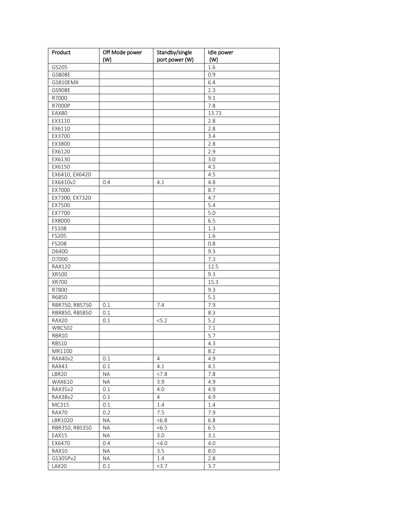| Product          | Off Mode power   | Standby/single        | Idle power |
|------------------|------------------|-----------------------|------------|
|                  | (W)              | port power (W)        | (W)        |
| GS205            |                  |                       | 1.6        |
| GS808E           |                  |                       | 0.9        |
| GS810EMX         |                  |                       | 6.4        |
| GS908E           |                  |                       | 2.3        |
| R7000            |                  |                       | 9.1        |
| R7000P           |                  |                       | 7.8        |
| EAX80            |                  |                       | 13.73      |
| EX3110           |                  |                       | 2.8        |
| EX6110           |                  |                       | 2.8        |
| EX3700           |                  |                       | 3.4        |
| EX3800           |                  |                       | 2.8        |
| EX6120           |                  |                       | 2.9        |
| EX6130           |                  |                       | 3.0        |
| EX6150           |                  |                       | 4.5        |
| EX6410, EX6420   |                  |                       | 4.5        |
| EX6410v2         | 0.4              | 4.1                   | 4.8        |
| EX7000           |                  |                       | 8.7        |
| EX7300, EX7320   |                  |                       | 4.7        |
| EX7500           |                  |                       | 5.4        |
| EX7700           |                  |                       | 5.0        |
| EX8000           |                  |                       | 6.5        |
| FS108            |                  |                       | 1.3        |
| FS205            |                  |                       | 1.6        |
| FS208            |                  |                       | 0.8        |
| D6400            |                  |                       | 9.3        |
| D7000            |                  |                       | 7.3        |
| <b>RAX120</b>    |                  |                       | 12.5       |
| XR500            |                  |                       | 9.3        |
| XR700            |                  |                       | 15.3       |
| R7800            |                  |                       | 9.3        |
| R6850            |                  |                       | 5.1        |
| RBR750, RBS750   | 0.1              | 7.4                   | 7.9        |
| RBR850, RBS850   | 0.1              |                       | 8.3        |
| RAX20            | 0.1              | 5.2                   | 5.2        |
| <b>WBC502</b>    |                  |                       | 7.1        |
| RBR10            |                  |                       | 5.7        |
| RBS10            |                  |                       | 4.3        |
| MR1100           |                  |                       | 8.2        |
| RAX40v2          | 0.1              | 4                     | 4.9        |
| RAX43            | 0.1              | 4.1                   | 4.1        |
| LBR20            | <b>NA</b>        | < 7.8                 | 7.8        |
| WAX610           | <b>NA</b>        | 3.9                   | 4.9        |
| RAX35v2          |                  |                       | 4.9        |
| RAX38v2          | 0.1<br>0.1       | 4.0<br>$\overline{4}$ | 4.9        |
| MC315            | 0.1              | 1.4                   | 1.4        |
|                  |                  | 7.5                   | 7.9        |
| RAX70<br>LBR1020 | 0.2<br><b>NA</b> | <6.8                  | 6.8        |
| RBR350, RBS350   | ΝA               | <6.5                  | 6.5        |
|                  |                  |                       |            |
| EAX15            | NА               | 3.0                   | 3.1        |
| EX6470           | 0.4              | $<$ 4.0               | 4.0        |
| RAX10            | <b>NA</b>        | 3.5                   | 8.0        |
| GS305Pv2         | <b>NA</b>        | 1.4                   | 2.8        |
| LAX20            | 0.1              | 3.7                   | 3.7        |